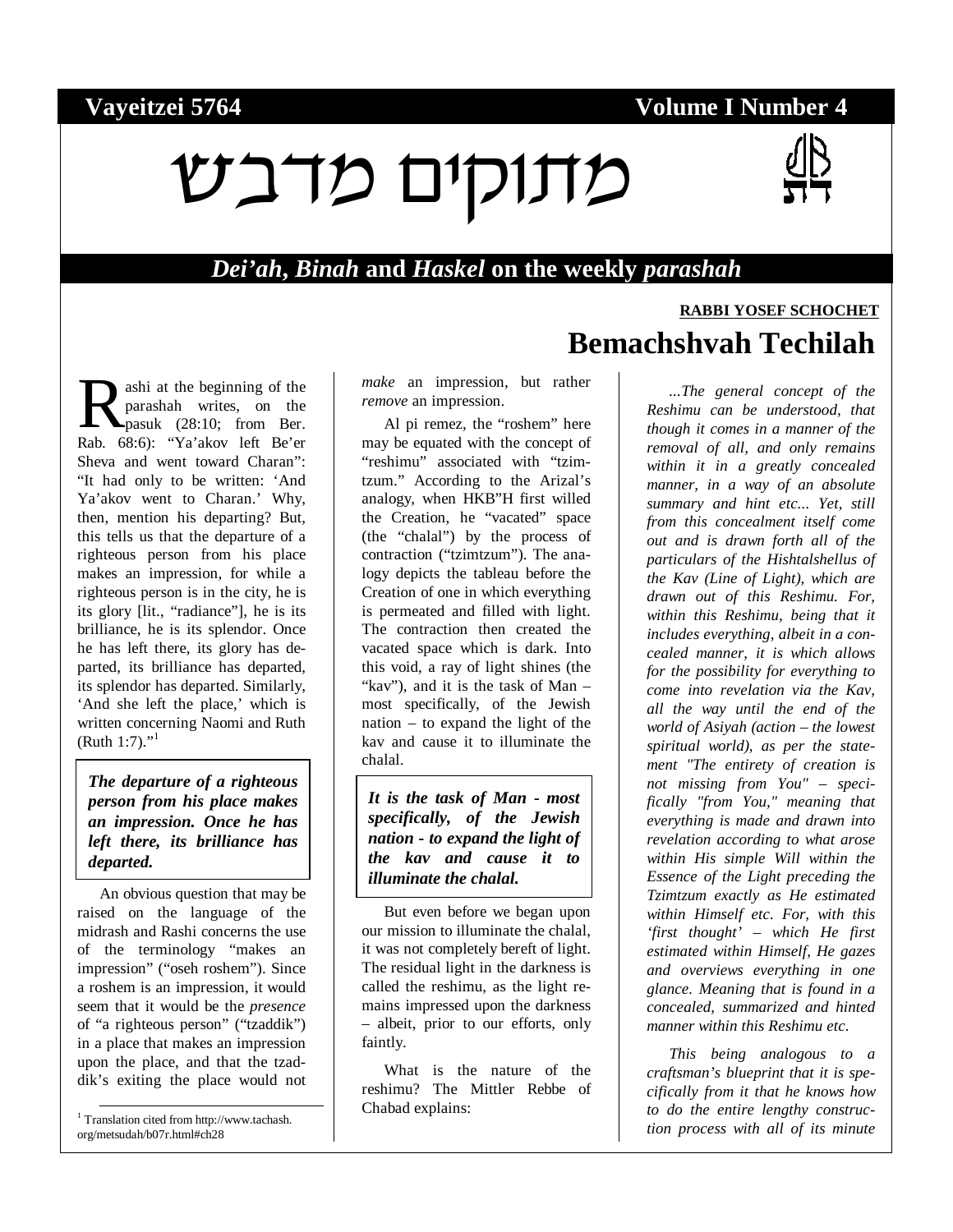### **Vayeitzei 5764 Volume I Number 4**

# $V$ נוקים מדבש



### *Dei'ah***,** *Binah* **and** *Haskel* **on the weekly** *parashah*

ashi at the beginning of the parashah writes, on the pasuk (28:10; from Ber. Rashi at the beginning of the<br>parashah writes, on the<br>Rab. 68:6): "Ya'akov left Be'er Sheva and went toward Charan": "It had only to be written: 'And Ya'akov went to Charan.' Why, then, mention his departing? But, this tells us that the departure of a righteous person from his place makes an impression, for while a righteous person is in the city, he is its glory [lit., "radiance"], he is its brilliance, he is its splendor. Once he has left there, its glory has departed, its brilliance has departed, its splendor has departed. Similarly, 'And she left the place,' which is written concerning Naomi and Ruth  $(Ruth 1:7).$ "

*The departure of a righteous person from his place makes an impression. Once he has left there, its brilliance has departed.* 

An obvious question that may be raised on the language of the midrash and Rashi concerns the use of the terminology "makes an impression" ("oseh roshem"). Since a roshem is an impression, it would seem that it would be the *presence* of "a righteous person" ("tzaddik") in a place that makes an impression upon the place, and that the tzaddik's exiting the place would not

 1 Translation cited from http://www.tachash. org/metsudah/b07r.html#ch28

*make* an impression, but rather *remove* an impression.

Al pi remez, the "roshem" here may be equated with the concept of "reshimu" associated with "tzimtzum." According to the Arizal's analogy, when HKB"H first willed the Creation, he "vacated" space (the "chalal") by the process of contraction ("tzimtzum"). The analogy depicts the tableau before the Creation of one in which everything is permeated and filled with light. The contraction then created the vacated space which is dark. Into this void, a ray of light shines (the "kav"), and it is the task of Man – most specifically, of the Jewish nation – to expand the light of the kav and cause it to illuminate the chalal.

*It is the task of Man - most specifically, of the Jewish nation - to expand the light of the kav and cause it to illuminate the chalal.* 

But even before we began upon our mission to illuminate the chalal, it was not completely bereft of light. The residual light in the darkness is called the reshimu, as the light remains impressed upon the darkness – albeit, prior to our efforts, only faintly.

What is the nature of the reshimu? The Mittler Rebbe of Chabad explains:

# **RABBI YOSEF SCHOCHET Bemachshvah Techilah**

*...The general concept of the Reshimu can be understood, that though it comes in a manner of the removal of all, and only remains within it in a greatly concealed manner, in a way of an absolute summary and hint etc... Yet, still from this concealment itself come out and is drawn forth all of the particulars of the Hishtalshellus of the Kav (Line of Light), which are drawn out of this Reshimu. For, within this Reshimu, being that it includes everything, albeit in a concealed manner, it is which allows for the possibility for everything to come into revelation via the Kav, all the way until the end of the world of Asiyah (action – the lowest spiritual world), as per the statement "The entirety of creation is not missing from You"* – *specifically "from You," meaning that everything is made and drawn into revelation according to what arose within His simple Will within the Essence of the Light preceding the Tzimtzum exactly as He estimated within Himself etc. For, with this 'first thought'* – *which He first estimated within Himself, He gazes and overviews everything in one glance. Meaning that is found in a concealed, summarized and hinted manner within this Reshimu etc.* 

*This being analogous to a craftsman's blueprint that it is specifically from it that he knows how to do the entire lengthy construction process with all of its minute*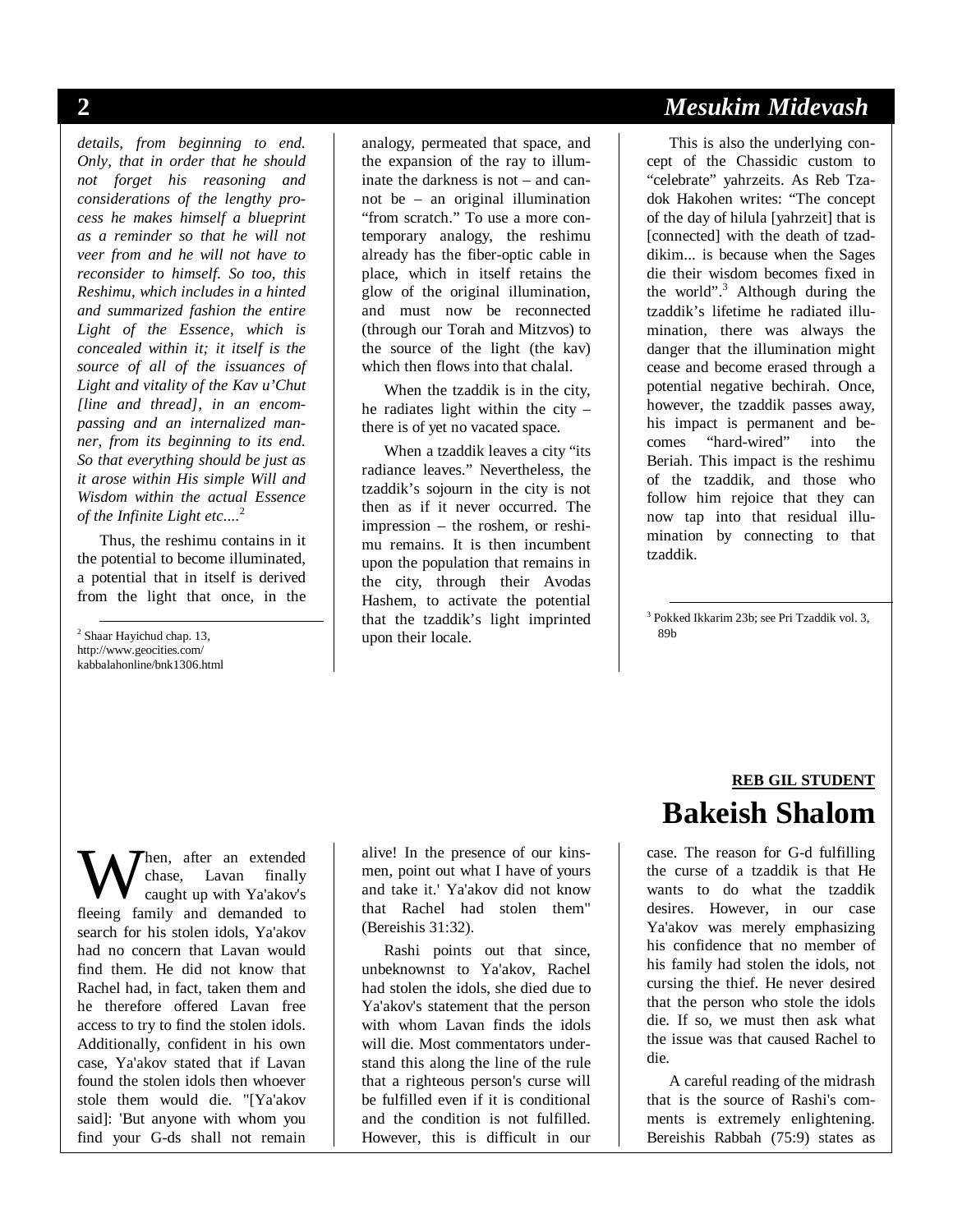*details, from beginning to end. Only, that in order that he should not forget his reasoning and considerations of the lengthy process he makes himself a blueprint as a reminder so that he will not veer from and he will not have to reconsider to himself. So too, this Reshimu, which includes in a hinted and summarized fashion the entire Light of the Essence, which is concealed within it; it itself is the source of all of the issuances of Light and vitality of the Kav u'Chut [line and thread], in an encompassing and an internalized manner, from its beginning to its end. So that everything should be just as it arose within His simple Will and Wisdom within the actual Essence of the Infinite Light etc....*<sup>2</sup>

Thus, the reshimu contains in it the potential to become illuminated, a potential that in itself is derived from the light that once, in the

 2 Shaar Hayichud chap. 13, http://www.geocities.com/ kabbalahonline/bnk1306.html

analogy, permeated that space, and the expansion of the ray to illuminate the darkness is not – and cannot be – an original illumination "from scratch." To use a more contemporary analogy, the reshimu already has the fiber-optic cable in place, which in itself retains the glow of the original illumination, and must now be reconnected (through our Torah and Mitzvos) to the source of the light (the kav) which then flows into that chalal.

When the tzaddik is in the city, he radiates light within the city – there is of yet no vacated space.

When a tzaddik leaves a city "its radiance leaves." Nevertheless, the tzaddik's sojourn in the city is not then as if it never occurred. The impression – the roshem, or reshimu remains. It is then incumbent upon the population that remains in the city, through their Avodas Hashem, to activate the potential that the tzaddik's light imprinted upon their locale.

### **2** *Mesukim Midevash*

This is also the underlying concept of the Chassidic custom to "celebrate" yahrzeits. As Reb Tzadok Hakohen writes: "The concept of the day of hilula [yahrzeit] that is [connected] with the death of tzaddikim... is because when the Sages die their wisdom becomes fixed in the world".<sup>3</sup> Although during the tzaddik's lifetime he radiated illumination, there was always the danger that the illumination might cease and become erased through a potential negative bechirah. Once, however, the tzaddik passes away, his impact is permanent and becomes "hard-wired" into the Beriah. This impact is the reshimu of the tzaddik, and those who follow him rejoice that they can now tap into that residual illumination by connecting to that tzaddik.

 3 Pokked Ikkarim 23b; see Pri Tzaddik vol. 3, 89b

hen, after an extended chase, Lavan finally caught up with Ya'akov's **W** chase, Lavan finally<br>caught up with Ya'akov's<br>fleeing family and demanded to search for his stolen idols, Ya'akov had no concern that Lavan would find them. He did not know that Rachel had, in fact, taken them and he therefore offered Lavan free access to try to find the stolen idols. Additionally, confident in his own case, Ya'akov stated that if Lavan found the stolen idols then whoever stole them would die. "[Ya'akov said]: 'But anyone with whom you find your G-ds shall not remain

alive! In the presence of our kinsmen, point out what I have of yours and take it.' Ya'akov did not know that Rachel had stolen them" (Bereishis 31:32).

Rashi points out that since, unbeknownst to Ya'akov, Rachel had stolen the idols, she died due to Ya'akov's statement that the person with whom Lavan finds the idols will die. Most commentators understand this along the line of the rule that a righteous person's curse will be fulfilled even if it is conditional and the condition is not fulfilled. However, this is difficult in our

### **REB GIL STUDENT Bakeish Shalom**

case. The reason for G-d fulfilling the curse of a tzaddik is that He wants to do what the tzaddik desires. However, in our case Ya'akov was merely emphasizing his confidence that no member of his family had stolen the idols, not cursing the thief. He never desired that the person who stole the idols die. If so, we must then ask what the issue was that caused Rachel to die.

A careful reading of the midrash that is the source of Rashi's comments is extremely enlightening. Bereishis Rabbah (75:9) states as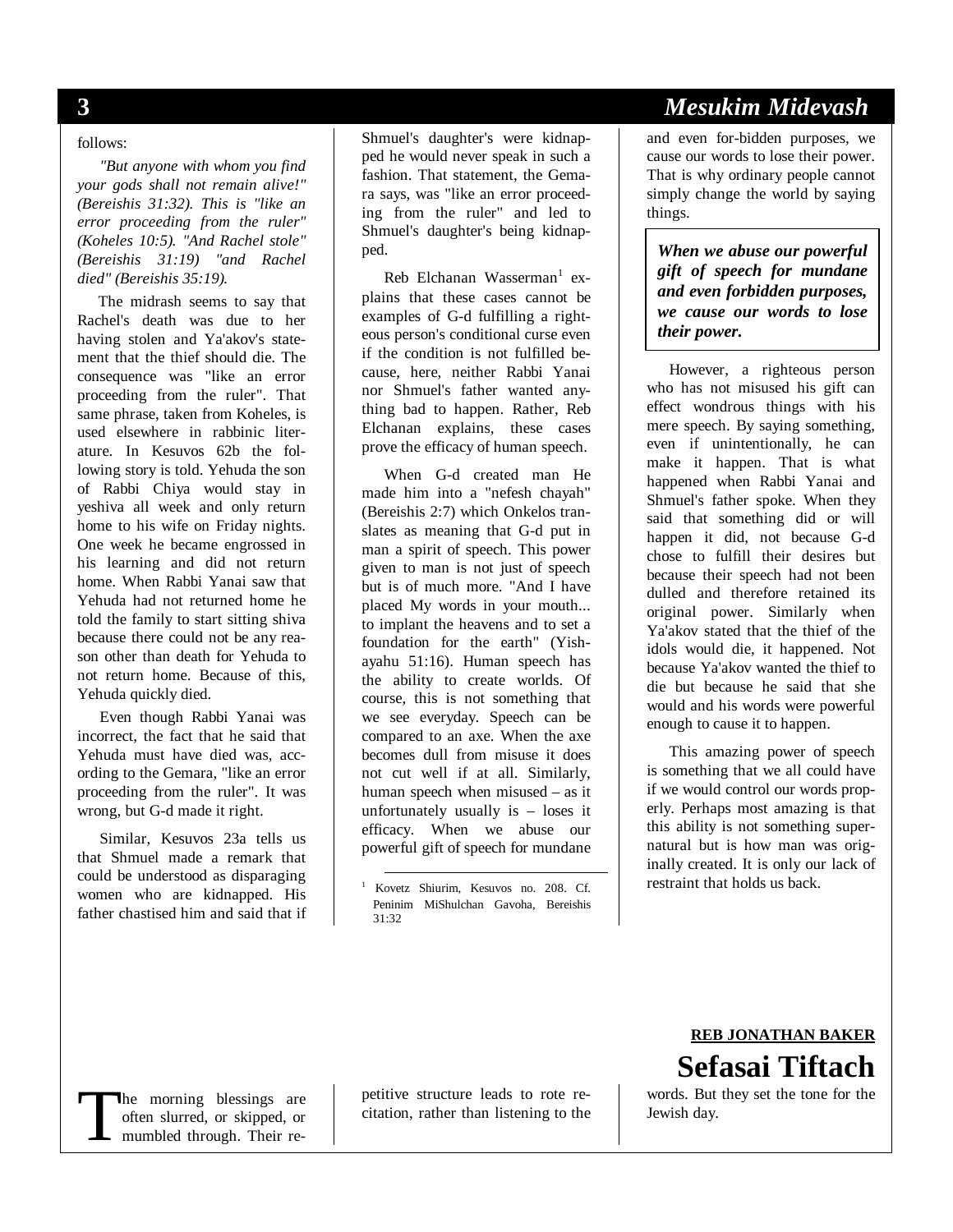#### follows:

*"But anyone with whom you find your gods shall not remain alive!" (Bereishis 31:32). This is "like an error proceeding from the ruler" (Koheles 10:5). "And Rachel stole" (Bereishis 31:19) "and Rachel died" (Bereishis 35:19).* 

The midrash seems to say that Rachel's death was due to her having stolen and Ya'akov's statement that the thief should die. The consequence was "like an error proceeding from the ruler". That same phrase, taken from Koheles, is used elsewhere in rabbinic literature. In Kesuvos 62b the following story is told. Yehuda the son of Rabbi Chiya would stay in yeshiva all week and only return home to his wife on Friday nights. One week he became engrossed in his learning and did not return home. When Rabbi Yanai saw that Yehuda had not returned home he told the family to start sitting shiva because there could not be any reason other than death for Yehuda to not return home. Because of this, Yehuda quickly died.

Even though Rabbi Yanai was incorrect, the fact that he said that Yehuda must have died was, according to the Gemara, "like an error proceeding from the ruler". It was wrong, but G-d made it right.

Similar, Kesuvos 23a tells us that Shmuel made a remark that could be understood as disparaging women who are kidnapped. His father chastised him and said that if Shmuel's daughter's were kidnapped he would never speak in such a fashion. That statement, the Gemara says, was "like an error proceeding from the ruler" and led to Shmuel's daughter's being kidnapped.

Reb Elchanan Wasserman<sup>1</sup> explains that these cases cannot be examples of G-d fulfilling a righteous person's conditional curse even if the condition is not fulfilled because, here, neither Rabbi Yanai nor Shmuel's father wanted anything bad to happen. Rather, Reb Elchanan explains, these cases prove the efficacy of human speech.

When G-d created man He made him into a "nefesh chayah" (Bereishis 2:7) which Onkelos translates as meaning that G-d put in man a spirit of speech. This power given to man is not just of speech but is of much more. "And I have placed My words in your mouth... to implant the heavens and to set a foundation for the earth" (Yishayahu 51:16). Human speech has the ability to create worlds. Of course, this is not something that we see everyday. Speech can be compared to an axe. When the axe becomes dull from misuse it does not cut well if at all. Similarly, human speech when misused – as it unfortunately usually is – loses it efficacy. When we abuse our powerful gift of speech for mundane

## **3** *Mesukim Midevash*

and even for-bidden purposes, we cause our words to lose their power. That is why ordinary people cannot simply change the world by saying things.

*When we abuse our powerful gift of speech for mundane and even forbidden purposes, we cause our words to lose their power.* 

However, a righteous person who has not misused his gift can effect wondrous things with his mere speech. By saying something, even if unintentionally, he can make it happen. That is what happened when Rabbi Yanai and Shmuel's father spoke. When they said that something did or will happen it did, not because G-d chose to fulfill their desires but because their speech had not been dulled and therefore retained its original power. Similarly when Ya'akov stated that the thief of the idols would die, it happened. Not because Ya'akov wanted the thief to die but because he said that she would and his words were powerful enough to cause it to happen.

This amazing power of speech is something that we all could have if we would control our words properly. Perhaps most amazing is that this ability is not something supernatural but is how man was originally created. It is only our lack of restraint that holds us back.

#### **REB JONATHAN BAKER Sefasai Tiftach** words. But they set the tone for the

he morning blessings are often slurred, or skipped, or mumbled through. Their re-The morning blessings are petitive structure leads to rote rewords. But often slurred, or skipped, or citation, rather than listening to the Jewish day.<br>
mumbled through. Their re-

petitive structure leads to rote recitation, rather than listening to the

 <sup>1</sup> Kovetz Shiurim, Kesuvos no. 208. Cf. Peninim MiShulchan Gavoha, Bereishis 31:32